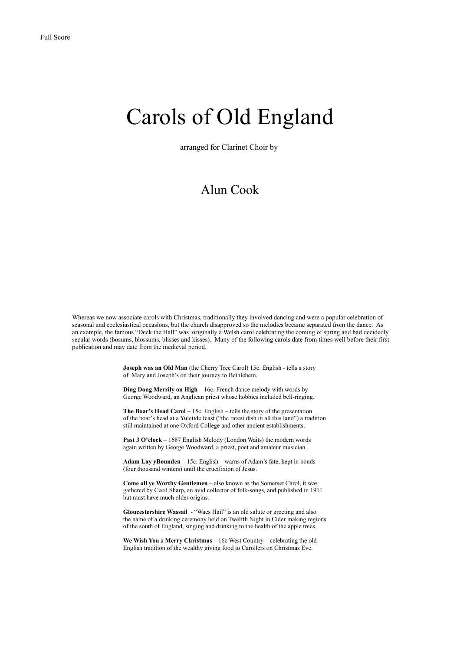## Carols of Old England

arranged for Clarinet Choir by

## Alun Cook

Whereas we now associate carols with Christmas, traditionally they involved dancing and were a popular celebration of seasonal and ecclesiastical occasions, but the church disapproved so the melodies became separated from the dance. As an example, the famous "Deck the Hall" was originally a Welsh carol celebrating the coming of spring and had decidedly secular words (bosums, blossums, blisses and kisses). Many of the following carols date from times well before their first publication and may date from the medieval period.

> **Joseph was an Old Man** (the Cherry Tree Carol) 15c. English - tells a story of Mary and Joseph's on their journey to Bethlehem.

**Ding Dong Merrily on High** – 16c. French dance melody with words by George Woodward, an Anglican priest whose hobbies included bell-ringing.

**The Boar's Head Carol** – 15c. English – tells the story of the presentation of the boar's head at a Yuletide feast ("the rarest dish in all this land") a tradition still maintained at one Oxford College and other ancient establishments.

**Past 3 O'clock** – 1687 English Melody (London Waits) the modern words again written by George Woodward, a priest, poet and amateur musician.

**Adam Lay yBounden** – 15c. English – warns of Adam's fate, kept in bonds (four thousand winters) until the crucifixion of Jesus.

**Come all ye Worthy Gentlemen** – also known as the Somerset Carol, it was gathered by Cecil Sharp, an avid collector of folk-songs, and published in 1911 but must have much older origins.

**Gloucestershire Wassail** - "Waes Hail" is an old salute or greeting and also the name of a drinking ceremony held on Twelfth Night in Cider making regions of the south of England, singing and drinking to the health of the apple trees.

**We Wish You** a **Merry Christmas** – 16c West Country – celebrating the old English tradition of the wealthy giving food to Carollers on Christmas Eve.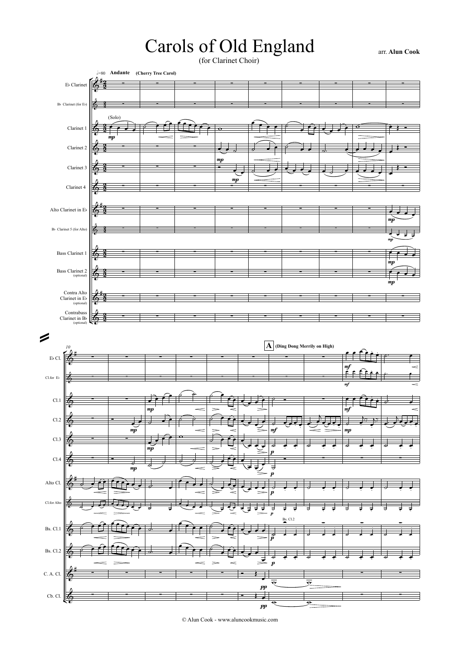## Carols of Old England **Accools Carols** of Old England

(for Clarinet Choir)



© Alun Cook - www.aluncookmusic.com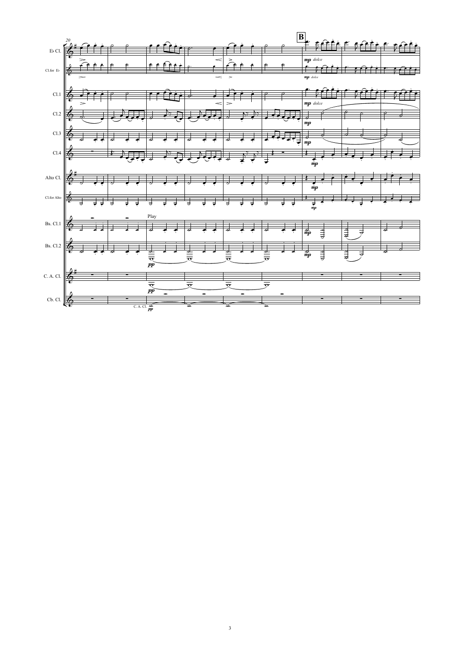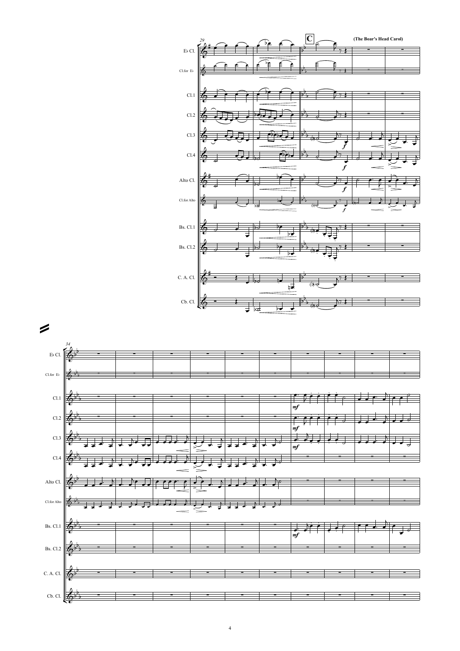